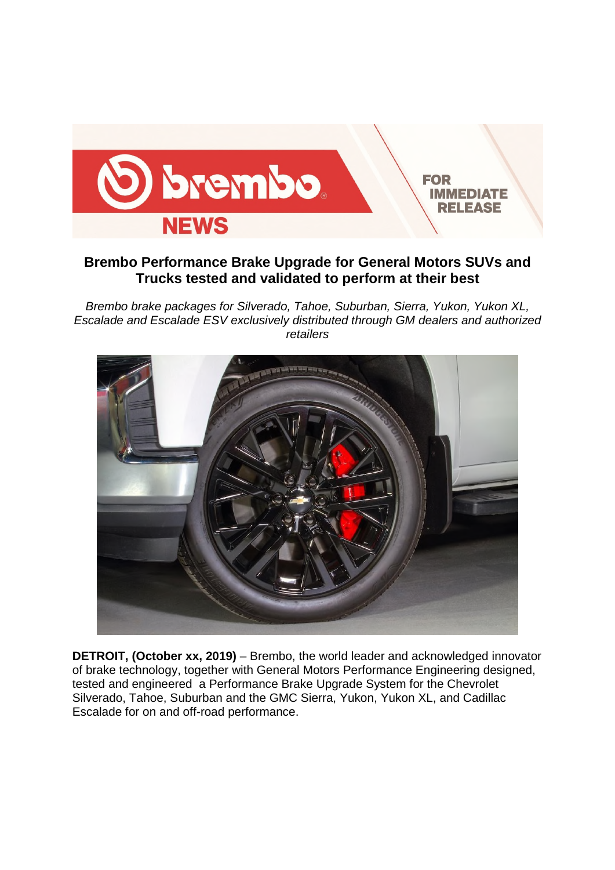

# **Brembo Performance Brake Upgrade for General Motors SUVs and Trucks tested and validated to perform at their best**

*Brembo brake packages for Silverado, Tahoe, Suburban, Sierra, Yukon, Yukon XL, Escalade and Escalade ESV exclusively distributed through GM dealers and authorized retailers* 



**DETROIT, (October xx, 2019)** – Brembo, the world leader and acknowledged innovator of brake technology, together with General Motors Performance Engineering designed, tested and engineered a Performance Brake Upgrade System for the Chevrolet Silverado, Tahoe, Suburban and the GMC Sierra, Yukon, Yukon XL, and Cadillac Escalade for on and off-road performance.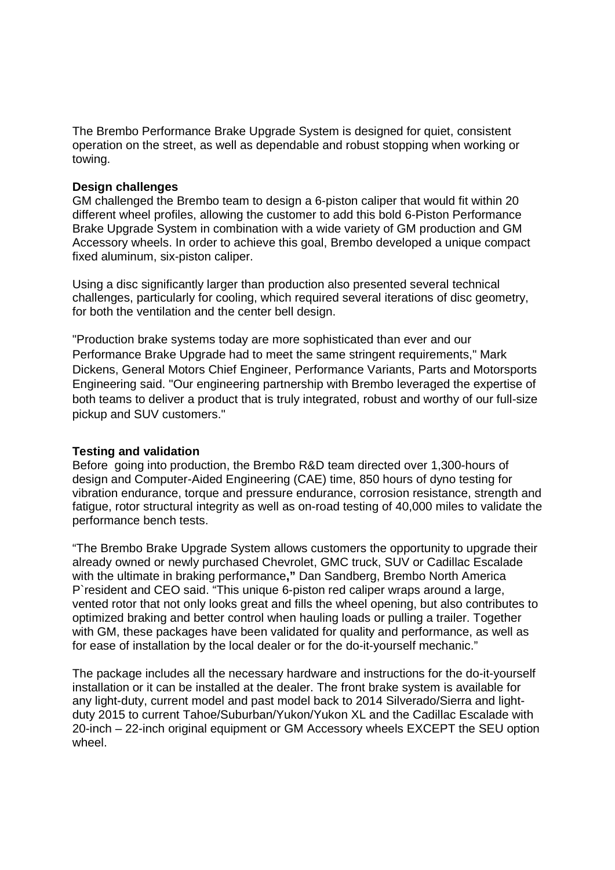The Brembo Performance Brake Upgrade System is designed for quiet, consistent operation on the street, as well as dependable and robust stopping when working or towing.

#### **Design challenges**

GM challenged the Brembo team to design a 6-piston caliper that would fit within 20 different wheel profiles, allowing the customer to add this bold 6-Piston Performance Brake Upgrade System in combination with a wide variety of GM production and GM Accessory wheels. In order to achieve this goal, Brembo developed a unique compact fixed aluminum, six-piston caliper.

Using a disc significantly larger than production also presented several technical challenges, particularly for cooling, which required several iterations of disc geometry, for both the ventilation and the center bell design.

"Production brake systems today are more sophisticated than ever and our Performance Brake Upgrade had to meet the same stringent requirements," Mark Dickens, General Motors Chief Engineer, Performance Variants, Parts and Motorsports Engineering said. "Our engineering partnership with Brembo leveraged the expertise of both teams to deliver a product that is truly integrated, robust and worthy of our full-size pickup and SUV customers."

### **Testing and validation**

Before going into production, the Brembo R&D team directed over 1,300-hours of design and Computer-Aided Engineering (CAE) time, 850 hours of dyno testing for vibration endurance, torque and pressure endurance, corrosion resistance, strength and fatigue, rotor structural integrity as well as on-road testing of 40,000 miles to validate the performance bench tests.

"The Brembo Brake Upgrade System allows customers the opportunity to upgrade their already owned or newly purchased Chevrolet, GMC truck, SUV or Cadillac Escalade with the ultimate in braking performance**,"** Dan Sandberg, Brembo North America P`resident and CEO said. "This unique 6-piston red caliper wraps around a large, vented rotor that not only looks great and fills the wheel opening, but also contributes to optimized braking and better control when hauling loads or pulling a trailer. Together with GM, these packages have been validated for quality and performance, as well as for ease of installation by the local dealer or for the do-it-yourself mechanic."

The package includes all the necessary hardware and instructions for the do-it-yourself installation or it can be installed at the dealer. The front brake system is available for any light-duty, current model and past model back to 2014 Silverado/Sierra and lightduty 2015 to current Tahoe/Suburban/Yukon/Yukon XL and the Cadillac Escalade with 20-inch – 22-inch original equipment or GM Accessory wheels EXCEPT the SEU option wheel.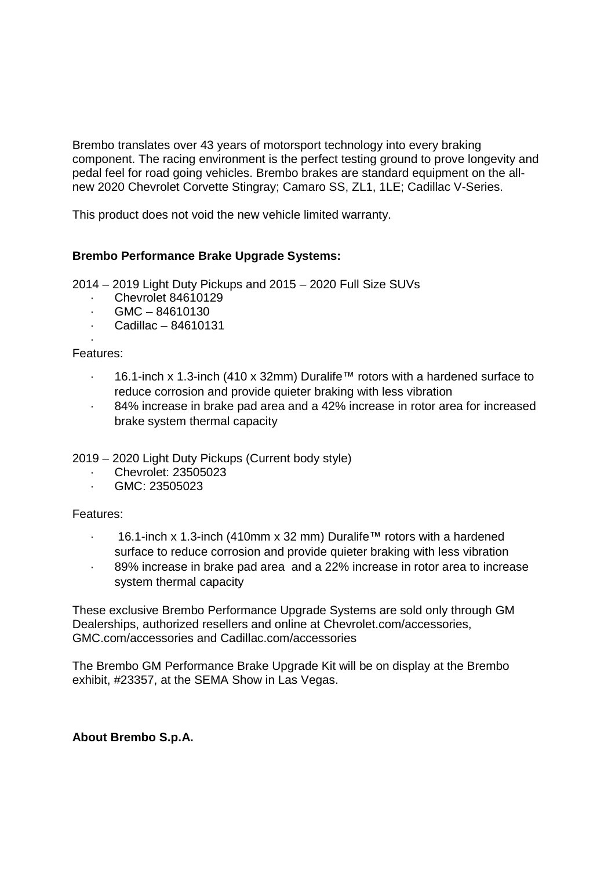Brembo translates over 43 years of motorsport technology into every braking component. The racing environment is the perfect testing ground to prove longevity and pedal feel for road going vehicles. Brembo brakes are standard equipment on the allnew 2020 Chevrolet Corvette Stingray; Camaro SS, ZL1, 1LE; Cadillac V-Series.

This product does not void the new vehicle limited warranty.

## **Brembo Performance Brake Upgrade Systems:**

2014 – 2019 Light Duty Pickups and 2015 – 2020 Full Size SUVs

- · Chevrolet 84610129
- $GMC 84610130$
- · Cadillac 84610131

· Features:

- · 16.1-inch x 1.3-inch (410 x 32mm) Duralife™ rotors with a hardened surface to reduce corrosion and provide quieter braking with less vibration
- 84% increase in brake pad area and a 42% increase in rotor area for increased brake system thermal capacity
- 2019 2020 Light Duty Pickups (Current body style)
	- · Chevrolet: 23505023
	- · GMC: 23505023

Features:

- · 16.1-inch x 1.3-inch (410mm x 32 mm) Duralife™ rotors with a hardened surface to reduce corrosion and provide quieter braking with less vibration
- 89% increase in brake pad area and a 22% increase in rotor area to increase system thermal capacity

These exclusive Brembo Performance Upgrade Systems are sold only through GM Dealerships, authorized resellers and online at Chevrolet.com/accessories, GMC.com/accessories and Cadillac.com/accessories

The Brembo GM Performance Brake Upgrade Kit will be on display at the Brembo exhibit, #23357, at the SEMA Show in Las Vegas.

## **About Brembo S.p.A.**